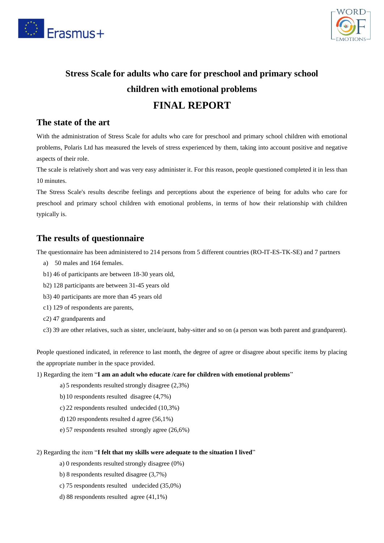



# **Stress Scale for adults who care for preschool and primary school children with emotional problems FINAL REPORT**

### **The state of the art**

With the administration of Stress Scale for adults who care for preschool and primary school children with emotional problems, Polaris Ltd has measured the levels of stress experienced by them, taking into account positive and negative aspects of their role.

The scale is relatively short and was very easy administer it. For this reason, people questioned completed it in less than 10 minutes.

The Stress Scale's results describe feelings and perceptions about the experience of being for adults who care for preschool and primary school children with emotional problems, in terms of how their relationship with children typically is.

### **The results of questionnaire**

The questionnaire has been administered to 214 persons from 5 different countries (RO-IT-ES-TK-SE) and 7 partners

- a) 50 males and 164 females.
- b1) 46 of participants are between 18-30 years old,
- b2) 128 participants are between 31-45 years old
- b3) 40 participants are more than 45 years old
- c1) 129 of respondents are parents,
- c2) 47 grandparents and
- c3) 39 are other relatives, such as sister, uncle/aunt, baby-sitter and so on (a person was both parent and grandparent).

People questioned indicated, in reference to last month, the degree of agree or disagree about specific items by placing the appropriate number in the space provided.

- 1) Regarding the item "**I am an adult who educate /care for children with emotional problems**"
	- a) 5 respondents resulted strongly disagree (2,3%)
	- b) 10 respondents resulted disagree (4,7%)
	- c) 22 respondents resulted undecided (10,3%)
	- d) 120 respondents resulted d agree (56,1%)
	- e) 57 respondents resulted strongly agree (26,6%)

#### 2) Regarding the item "**I felt that my skills were adequate to the situation I lived**"

- a) 0 respondents resulted strongly disagree (0%)
- b) 8 respondents resulted disagree (3,7%)
- c) 75 respondents resulted undecided (35,0%)
- d) 88 respondents resulted agree (41,1%)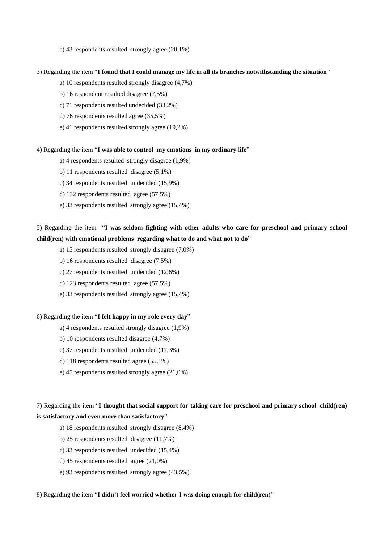e) 43 respondents resulted strongly agree (20,1%)

#### 3) Regarding the item "**I found that I could manage my life in all its branches notwithstanding the situation**"

a) 10 respondents resulted strongly disagree (4,7%)

- b) 16 respondent resulted disagree (7,5%)
- c) 71 respondents resulted undecided (33,2%)
- d) 76 respondents resulted agree (35,5%)
- e) 41 respondents resulted strongly agree (19,2%)

#### 4) Regarding the item "**I was able to control my emotions in my ordinary life**"

- a) 4 respondents resulted strongly disagree (1,9%)
- b) 11 respondents resulted disagree (5,1%)
- c) 34 respondents resulted undecided (15,9%)
- d) 132 respondents resulted agree (57,5%)
- e) 33 respondents resulted strongly agree (15,4%)

### 5) Regarding the item "**I was seldom fighting with other adults who care for preschool and primary school child(ren) with emotional problems regarding what to do and what not to do**"

- a) 15 respondents resulted strongly disagree (7,0%)
- b) 16 respondents resulted disagree (7,5%)
- c) 27 respondents resulted undecided (12,6%)
- d) 123 respondents resulted agree (57,5%)
- e) 33 respondents resulted strongly agree (15,4%)

#### 6) Regarding the item "**I felt happy in my role every day**"

- a) 4 respondents resulted strongly disagree (1,9%)
- b) 10 respondents resulted disagree (4,7%)
- c) 37 respondents resulted undecided (17,3%)
- d) 118 respondents resulted agree (55,1%)
- e) 45 respondents resulted strongly agree (21,0%)

### 7) Regarding the item "**I thought that social support for taking care for preschool and primary school child(ren) is satisfactory and even more than satisfactory**"

- a) 18 respondents resulted strongly disagree (8,4%)
- b) 25 respondents resulted disagree (11,7%)
- c) 33 respondents resulted undecided (15,4%)
- d) 45 respondents resulted agree (21,0%)
- e) 93 respondents resulted strongly agree (43,5%)

#### 8) Regarding the item "**I didn't feel worried whether I was doing enough for child(ren)**"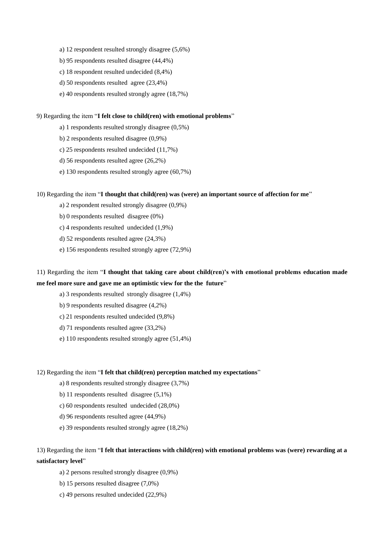- a) 12 respondent resulted strongly disagree (5,6%)
- b) 95 respondents resulted disagree (44,4%)
- c) 18 respondent resulted undecided (8,4%)
- d) 50 respondents resulted agree (23,4%)
- e) 40 respondents resulted strongly agree (18,7%)

#### 9) Regarding the item "**I felt close to child(ren) with emotional problems**"

- a) 1 respondents resulted strongly disagree (0,5%)
- b) 2 respondents resulted disagree (0,9%)
- c) 25 respondents resulted undecided (11,7%)
- d) 56 respondents resulted agree (26,2%)
- e) 130 respondents resulted strongly agree (60,7%)

#### 10) Regarding the item "**I thought that child(ren) was (were) an important source of affection for me**"

- a) 2 respondent resulted strongly disagree (0,9%)
- b) 0 respondents resulted disagree (0%)
- c) 4 respondents resulted undecided (1,9%)
- d) 52 respondents resulted agree (24,3%)
- e) 156 respondents resulted strongly agree (72,9%)

### 11) Regarding the item "**I thought that taking care about child(ren)'s with emotional problems education made me feel more sure and gave me an optimistic view for the the future**"

- a) 3 respondents resulted strongly disagree (1,4%)
- b) 9 respondents resulted disagree (4,2%)
- c) 21 respondents resulted undecided (9,8%)
- d) 71 respondents resulted agree (33,2%)
- e) 110 respondents resulted strongly agree (51,4%)

#### 12) Regarding the item "**I felt that child(ren) perception matched my expectations**"

- a) 8 respondents resulted strongly disagree (3,7%)
- b) 11 respondents resulted disagree (5,1%)
- c) 60 respondents resulted undecided (28,0%)
- d) 96 respondents resulted agree (44,9%)
- e) 39 respondents resulted strongly agree (18,2%)

### 13) Regarding the item "**I felt that interactions with child(ren) with emotional problems was (were) rewarding at a satisfactory level**"

- a) 2 persons resulted strongly disagree (0,9%)
- b) 15 persons resulted disagree (7,0%)
- c) 49 persons resulted undecided (22,9%)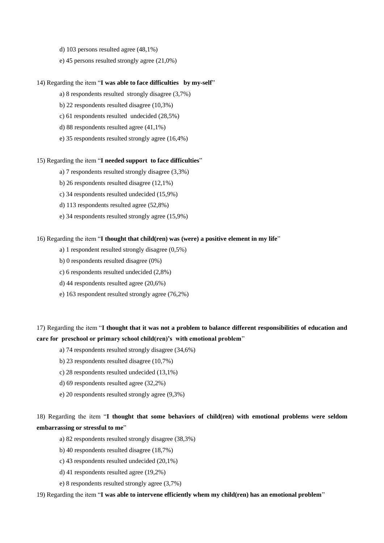- d) 103 persons resulted agree (48,1%)
- e) 45 persons resulted strongly agree (21,0%)

#### 14) Regarding the item "**I was able to face difficulties by my-self**"

- a) 8 respondents resulted strongly disagree (3,7%)
- b) 22 respondents resulted disagree (10,3%)
- c) 61 respondents resulted undecided (28,5%)
- d) 88 respondents resulted agree (41,1%)
- e) 35 respondents resulted strongly agree (16,4%)

#### 15) Regarding the item "**I needed support to face difficulties**"

- a) 7 respondents resulted strongly disagree (3,3%)
- b) 26 respondents resulted disagree (12,1%)
- c) 34 respondents resulted undecided (15,9%)
- d) 113 respondents resulted agree (52,8%)
- e) 34 respondents resulted strongly agree (15,9%)

#### 16) Regarding the item "**I thought that child(ren) was (were) a positive element in my life**"

- a) 1 respondent resulted strongly disagree (0,5%)
- b) 0 respondents resulted disagree (0%)
- c) 6 respondents resulted undecided (2,8%)
- d) 44 respondents resulted agree (20,6%)
- e) 163 respondent resulted strongly agree (76,2%)

### 17) Regarding the item "**I thought that it was not a problem to balance different responsibilities of education and care for preschool or primary school child(ren)'s with emotional problem**"

- a) 74 respondents resulted strongly disagree (34,6%)
- b) 23 respondents resulted disagree (10,7%)
- c) 28 respondents resulted undecided (13,1%)
- d) 69 respondents resulted agree (32,2%)
- e) 20 respondents resulted strongly agree (9,3%)

### 18) Regarding the item "**I thought that some behaviors of child(ren) with emotional problems were seldom embarrassing or stressful to me**"

- a) 82 respondents resulted strongly disagree (38,3%)
- b) 40 respondents resulted disagree (18,7%)
- c) 43 respondents resulted undecided (20,1%)
- d) 41 respondents resulted agree (19,2%)
- e) 8 respondents resulted strongly agree (3,7%)

#### 19) Regarding the item "**I was able to intervene efficiently whem my child(ren) has an emotional problem**"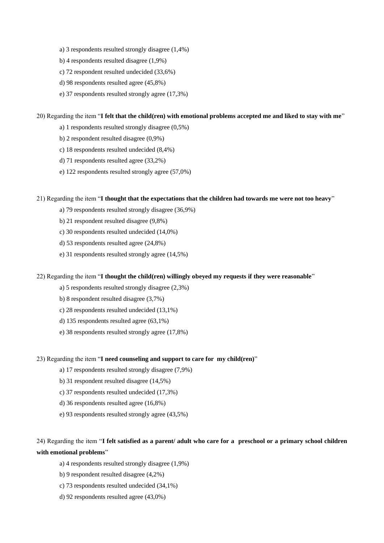- a) 3 respondents resulted strongly disagree (1,4%)
- b) 4 respondents resulted disagree (1,9%)
- c) 72 respondent resulted undecided (33,6%)
- d) 98 respondents resulted agree (45,8%)
- e) 37 respondents resulted strongly agree (17,3%)

#### 20) Regarding the item "**I felt that the child(ren) with emotional problems accepted me and liked to stay with me**"

- a) 1 respondents resulted strongly disagree (0,5%)
- b) 2 respondent resulted disagree (0,9%)
- c) 18 respondents resulted undecided (8,4%)
- d) 71 respondents resulted agree (33,2%)
- e) 122 respondents resulted strongly agree (57,0%)

#### 21) Regarding the item "**I thought that the expectations that the children had towards me were not too heavy**"

- a) 79 respondents resulted strongly disagree (36,9%)
- b) 21 respondent resulted disagree (9,8%)
- c) 30 respondents resulted undecided (14,0%)
- d) 53 respondents resulted agree (24,8%)
- e) 31 respondents resulted strongly agree (14,5%)

#### 22) Regarding the item "**I thought the child(ren) willingly obeyed my requests if they were reasonable**"

- a) 5 respondents resulted strongly disagree (2,3%)
- b) 8 respondent resulted disagree (3,7%)
- c) 28 respondents resulted undecided (13,1%)
- d) 135 respondents resulted agree (63,1%)
- e) 38 respondents resulted strongly agree (17,8%)

#### 23) Regarding the item "**I need counseling and support to care for my child(ren)**"

- a) 17 respondents resulted strongly disagree (7,9%)
- b) 31 respondent resulted disagree (14,5%)
- c) 37 respondents resulted undecided (17,3%)
- d) 36 respondents resulted agree (16,8%)
- e) 93 respondents resulted strongly agree (43,5%)

### 24) Regarding the item "**I felt satisfied as a parent/ adult who care for a preschool or a primary school children with emotional problems**"

- a) 4 respondents resulted strongly disagree (1,9%)
- b) 9 respondent resulted disagree (4,2%)
- c) 73 respondents resulted undecided (34,1%)
- d) 92 respondents resulted agree (43,0%)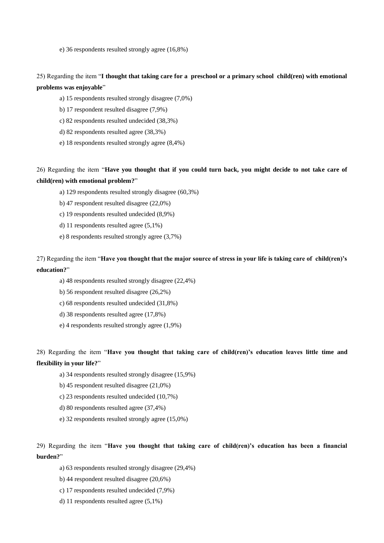e) 36 respondents resulted strongly agree (16,8%)

25) Regarding the item "**I thought that taking care for a preschool or a primary school child(ren) with emotional problems was enjoyable**"

a) 15 respondents resulted strongly disagree (7,0%)

b) 17 respondent resulted disagree (7,9%)

c) 82 respondents resulted undecided (38,3%)

d) 82 respondents resulted agree (38,3%)

e) 18 respondents resulted strongly agree (8,4%)

26) Regarding the item "**Have you thought that if you could turn back, you might decide to not take care of child(ren) with emotional problem?**"

a) 129 respondents resulted strongly disagree (60,3%)

b) 47 respondent resulted disagree (22,0%)

c) 19 respondents resulted undecided (8,9%)

d) 11 respondents resulted agree (5,1%)

e) 8 respondents resulted strongly agree (3,7%)

27) Regarding the item "**Have you thought that the major source of stress in your life is taking care of child(ren)'s education?**"

a) 48 respondents resulted strongly disagree (22,4%)

b) 56 respondent resulted disagree (26,2%)

c) 68 respondents resulted undecided (31,8%)

d) 38 respondents resulted agree (17,8%)

e) 4 respondents resulted strongly agree (1,9%)

28) Regarding the item "**Have you thought that taking care of child(ren)'s education leaves little time and flexibility in your life?**"

a) 34 respondents resulted strongly disagree (15,9%)

b) 45 respondent resulted disagree (21,0%)

c) 23 respondents resulted undecided (10,7%)

d) 80 respondents resulted agree (37,4%)

e) 32 respondents resulted strongly agree (15,0%)

29) Regarding the item "**Have you thought that taking care of child(ren)'s education has been a financial burden?**"

a) 63 respondents resulted strongly disagree (29,4%)

b) 44 respondent resulted disagree (20,6%)

c) 17 respondents resulted undecided (7,9%)

d) 11 respondents resulted agree (5,1%)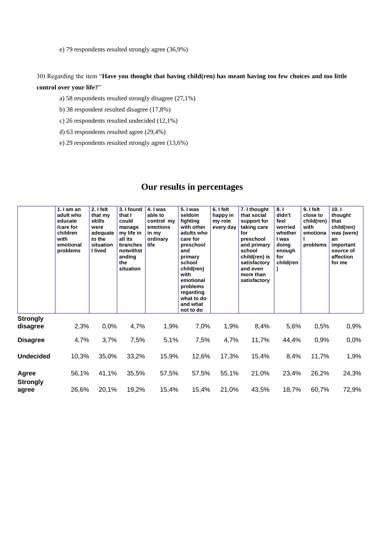e) 79 respondents resulted strongly agree (36,9%)

30) Regarding the item "**Have you thought that having child(ren) has meant having too few choices and too little control over your life?**"

a) 58 respondents resulted strongly disagree (27,1%)

b) 38 respondent resulted disagree (17,8%)

c) 26 respondents resulted undecided (12,1%)

d) 63 respondents resulted agree (29,4%)

e) 29 respondents resulted strongly agree (13,6%)

### **Our results in percentages**

|                             | 1. $I$ am an<br>adult who<br>educate<br>/care for<br>children<br>with<br>emotional<br>problems | $2.1$ felt<br>that my<br>skills<br>were<br>adequate<br>to the<br>situation<br>I lived | 3. I found<br>that I<br>could<br>manage<br>my life in<br>all its<br>branches<br>notwithst<br>anding<br>the<br>situation | 4. I was<br>able to<br>control my<br>emotions<br>in my<br>ordinary<br>life | 5. I was<br>seldom<br>fighting<br>with other<br>adults who<br>care for<br>preschool<br>and<br>primary<br>school<br>child(ren)<br>with<br>emotional<br>problems<br>regarding<br>what to do<br>and what<br>not to do | 6. I felt<br>happy in<br>my role<br>every day | 7. I thought<br>that social<br>support for<br>taking care<br>for<br>preschool<br>and primary<br>school<br>child(ren) is<br>satisfactory<br>and even<br>more than<br>satisfactory | 8.1<br>didn't<br>feel<br>worried<br>whether<br>I was<br>doing<br>enough<br>for<br>child(ren | 9. I felt<br>close to<br>child(ren)<br>with<br>emotiona<br>problems | 10.1<br>thought<br>that<br>child(ren)<br>was (were)<br>an<br>important<br>source of<br>affection<br>for me |
|-----------------------------|------------------------------------------------------------------------------------------------|---------------------------------------------------------------------------------------|-------------------------------------------------------------------------------------------------------------------------|----------------------------------------------------------------------------|--------------------------------------------------------------------------------------------------------------------------------------------------------------------------------------------------------------------|-----------------------------------------------|----------------------------------------------------------------------------------------------------------------------------------------------------------------------------------|---------------------------------------------------------------------------------------------|---------------------------------------------------------------------|------------------------------------------------------------------------------------------------------------|
| <b>Strongly</b><br>disagree | 2,3%                                                                                           | 0,0%                                                                                  | 4,7%                                                                                                                    | 1,9%                                                                       | 7,0%                                                                                                                                                                                                               | 1,9%                                          | 8,4%                                                                                                                                                                             | 5,6%                                                                                        | 0,5%                                                                | 0,9%                                                                                                       |
| <b>Disagree</b>             | 4,7%                                                                                           | 3,7%                                                                                  | 7,5%                                                                                                                    | 5,1%                                                                       | 7,5%                                                                                                                                                                                                               | 4,7%                                          | 11,7%                                                                                                                                                                            | 44,4%                                                                                       | 0,9%                                                                | 0,0%                                                                                                       |
| <b>Undecided</b>            | 10,3%                                                                                          | 35,0%                                                                                 | 33,2%                                                                                                                   | 15,9%                                                                      | 12,6%                                                                                                                                                                                                              | 17,3%                                         | 15,4%                                                                                                                                                                            | 8,4%                                                                                        | 11,7%                                                               | 1,9%                                                                                                       |
| Agree                       | 56,1%                                                                                          | 41,1%                                                                                 | 35,5%                                                                                                                   | 57,5%                                                                      | 57,5%                                                                                                                                                                                                              | 55,1%                                         | 21,0%                                                                                                                                                                            | 23,4%                                                                                       | 26,2%                                                               | 24,3%                                                                                                      |
| <b>Strongly</b><br>agree    | 26,6%                                                                                          | 20,1%                                                                                 | 19,2%                                                                                                                   | 15,4%                                                                      | 15,4%                                                                                                                                                                                                              | 21,0%                                         | 43,5%                                                                                                                                                                            | 18,7%                                                                                       | 60,7%                                                               | 72,9%                                                                                                      |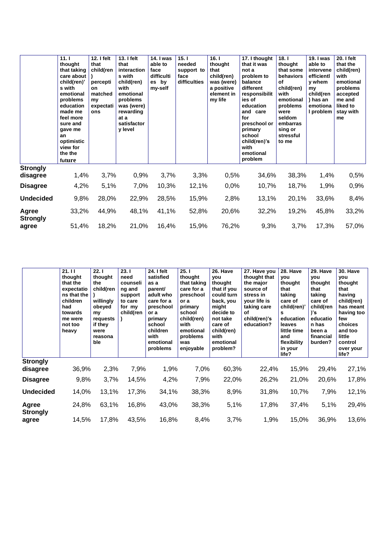|                             | 11.1<br>thought<br>that taking<br>care about<br>child(ren)'<br>s with<br>emotional<br>problems<br>education<br>made me<br>feel more<br>sure and<br>gave me<br>an<br>optimistic<br>view for<br>the the<br>future | 12. I felt<br>that<br>child(ren<br>percepti<br><b>on</b><br>matched<br>my<br>expectati<br>ons | 13. I felt<br>that<br>interaction<br>s with<br>child(ren)<br>with<br>emotional<br>problems<br>was (were)<br>rewarding<br>at a<br>satisfactor<br>y level | <b>14. I was</b><br>able to<br>face<br>difficulti<br>es by<br>my-self | 15.1<br>needed<br>support to<br>face<br>difficulties | 16.1<br>thought<br>that<br>child(ren)<br>was (were)<br>a positive<br>element in<br>my life | 17. I thought<br>that it was<br>not a<br>problem to<br>balance<br>different<br>responsibilit<br>ies of<br>education<br>and care<br>for<br>preschool or<br>primary<br>school<br>child(ren)'s<br>with<br>emotional<br>problem | 18.1<br>thought<br>that some<br>behaviors<br>of<br>child(ren)<br>with<br>emotional<br>problems<br>were<br>seldom<br>embarras<br>sing or<br>stressful<br>to me | 19. I was<br>able to<br>intervene<br>efficientl<br>y whem<br>my<br>child(ren<br>) has an<br>emotiona<br>I problem | <b>20. I felt</b><br>that the<br>child(ren)<br>with<br>emotional<br>problems<br>accepted<br>me and<br>liked to<br>stay with<br>me |
|-----------------------------|-----------------------------------------------------------------------------------------------------------------------------------------------------------------------------------------------------------------|-----------------------------------------------------------------------------------------------|---------------------------------------------------------------------------------------------------------------------------------------------------------|-----------------------------------------------------------------------|------------------------------------------------------|--------------------------------------------------------------------------------------------|-----------------------------------------------------------------------------------------------------------------------------------------------------------------------------------------------------------------------------|---------------------------------------------------------------------------------------------------------------------------------------------------------------|-------------------------------------------------------------------------------------------------------------------|-----------------------------------------------------------------------------------------------------------------------------------|
| <b>Strongly</b><br>disagree | 1,4%                                                                                                                                                                                                            | 3,7%                                                                                          | 0,9%                                                                                                                                                    | 3,7%                                                                  | 3,3%                                                 | 0,5%                                                                                       | 34,6%                                                                                                                                                                                                                       | 38,3%                                                                                                                                                         | 1,4%                                                                                                              | 0,5%                                                                                                                              |
| <b>Disagree</b>             | 4,2%                                                                                                                                                                                                            | 5,1%                                                                                          | 7,0%                                                                                                                                                    | 10,3%                                                                 | 12,1%                                                | 0,0%                                                                                       | 10,7%                                                                                                                                                                                                                       | 18,7%                                                                                                                                                         | 1,9%                                                                                                              | 0,9%                                                                                                                              |
| <b>Undecided</b>            | 9,8%                                                                                                                                                                                                            | 28,0%                                                                                         | 22,9%                                                                                                                                                   | 28,5%                                                                 | 15,9%                                                | 2,8%                                                                                       | 13,1%                                                                                                                                                                                                                       | 20,1%                                                                                                                                                         | 33,6%                                                                                                             | 8,4%                                                                                                                              |
| Agree<br><b>Strongly</b>    | 33,2%                                                                                                                                                                                                           | 44,9%                                                                                         | 48,1%                                                                                                                                                   | 41,1%                                                                 | 52,8%                                                | 20,6%                                                                                      | 32,2%                                                                                                                                                                                                                       | 19,2%                                                                                                                                                         | 45,8%                                                                                                             | 33,2%                                                                                                                             |
| agree                       | 51,4%                                                                                                                                                                                                           | 18,2%                                                                                         | 21,0%                                                                                                                                                   | 16,4%                                                                 | 15,9%                                                | 76,2%                                                                                      | 9,3%                                                                                                                                                                                                                        | 3,7%                                                                                                                                                          | 17,3%                                                                                                             | 57,0%                                                                                                                             |

|                             | 21.11<br>thought<br>that the<br>expectatio<br>ns that the<br>children<br>had<br>towards<br>me were<br>not too<br>heavy | 22.1<br>thought<br>the<br>child(ren<br>willingly<br>obeyed<br>my<br>requests<br>if they<br>were<br>reasona<br>ble | 23.1<br>need<br>counseli<br>ng and<br>support<br>to care<br>for my<br>child(ren | 24. I felt<br>satisfied<br>as a<br>parent/<br>adult who<br>care for a<br>preschool<br>or a<br>primary<br>school<br>children<br>with<br>emotional<br>problems | 25.1<br>thought<br>that taking<br>care for a<br>preschool<br>or a<br>primary<br>school<br>child(ren)<br>with<br>emotional<br>problems<br>was<br>enjoyable | 26. Have<br>vou<br>thought<br>that if you<br>could turn<br>back, you<br>might<br>decide to<br>not take<br>care of<br>child(ren)<br>with<br>emotional<br>problem? | 27. Have you<br>thought that<br>the major<br>source of<br>stress in<br>your life is<br>taking care<br>of<br>child(ren)'s<br>education? | 28. Have<br>you<br>thought<br>that<br>taking<br>care of<br>child(ren)'<br>s<br>education<br>leaves<br>little time<br>and<br>flexibility<br>in your<br>life? | 29. Have<br>vou<br>thought<br>that<br>taking<br>care of<br>child(ren<br>)'s<br>educatio<br>n has<br>been a<br>financial<br>burden? | 30. Have<br><b>you</b><br>thought<br>that<br>having<br>child(ren)<br>has meant<br>having too<br>few<br>choices<br>and too<br>little<br>control<br>over your<br>life? |
|-----------------------------|------------------------------------------------------------------------------------------------------------------------|-------------------------------------------------------------------------------------------------------------------|---------------------------------------------------------------------------------|--------------------------------------------------------------------------------------------------------------------------------------------------------------|-----------------------------------------------------------------------------------------------------------------------------------------------------------|------------------------------------------------------------------------------------------------------------------------------------------------------------------|----------------------------------------------------------------------------------------------------------------------------------------|-------------------------------------------------------------------------------------------------------------------------------------------------------------|------------------------------------------------------------------------------------------------------------------------------------|----------------------------------------------------------------------------------------------------------------------------------------------------------------------|
| <b>Strongly</b><br>disagree | 36,9%                                                                                                                  | 2,3%                                                                                                              | 7,9%                                                                            | 1,9%                                                                                                                                                         | 7,0%                                                                                                                                                      | 60,3%                                                                                                                                                            | 22,4%                                                                                                                                  | 15,9%                                                                                                                                                       | 29,4%                                                                                                                              | 27,1%                                                                                                                                                                |
| <b>Disagree</b>             | 9,8%                                                                                                                   | 3,7%                                                                                                              | 14,5%                                                                           | 4,2%                                                                                                                                                         | 7,9%                                                                                                                                                      | 22,0%                                                                                                                                                            | 26,2%                                                                                                                                  | 21,0%                                                                                                                                                       | 20,6%                                                                                                                              | 17,8%                                                                                                                                                                |
| <b>Undecided</b>            | 14,0%                                                                                                                  | 13,1%                                                                                                             | 17,3%                                                                           | 34,1%                                                                                                                                                        | 38,3%                                                                                                                                                     | 8,9%                                                                                                                                                             | 31,8%                                                                                                                                  | 10,7%                                                                                                                                                       | 7,9%                                                                                                                               | 12,1%                                                                                                                                                                |
| Agree<br><b>Strongly</b>    | 24,8%                                                                                                                  | 63,1%                                                                                                             | 16,8%                                                                           | 43,0%                                                                                                                                                        | 38,3%                                                                                                                                                     | 5,1%                                                                                                                                                             | 17,8%                                                                                                                                  | 37,4%                                                                                                                                                       | 5,1%                                                                                                                               | 29,4%                                                                                                                                                                |
| agree                       | 14,5%                                                                                                                  | 17,8%                                                                                                             | 43,5%                                                                           | 16,8%                                                                                                                                                        | 8,4%                                                                                                                                                      | 3,7%                                                                                                                                                             | 1,9%                                                                                                                                   | 15,0%                                                                                                                                                       | 36,9%                                                                                                                              | 13,6%                                                                                                                                                                |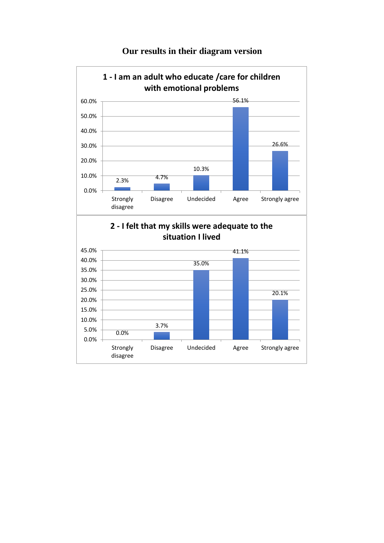

## **Our results in their diagram version**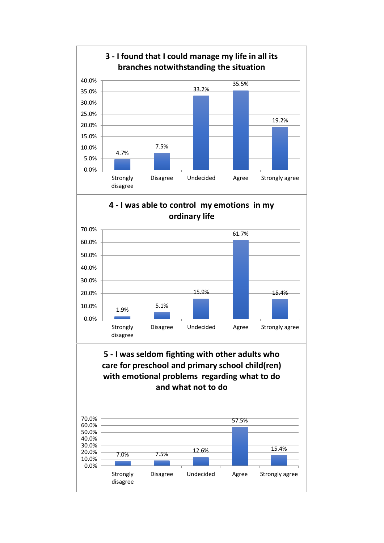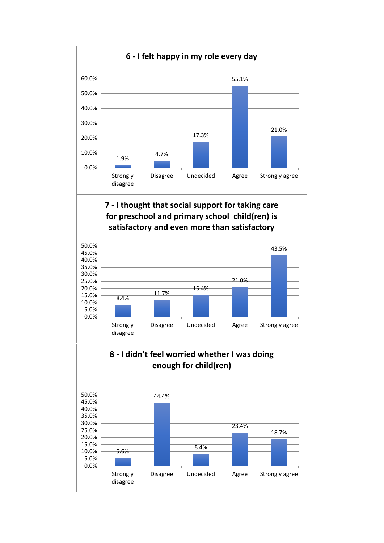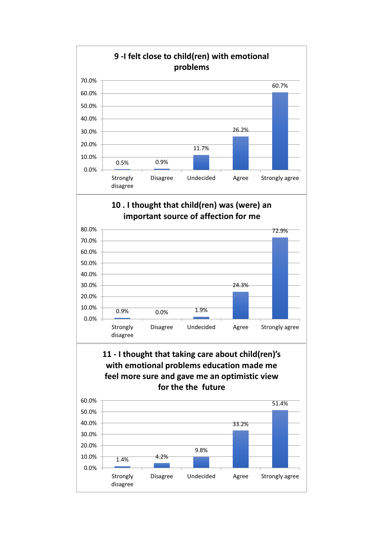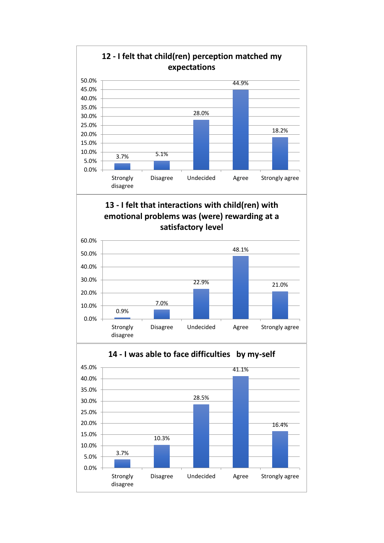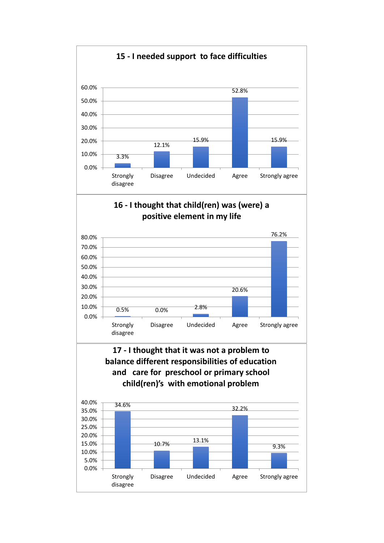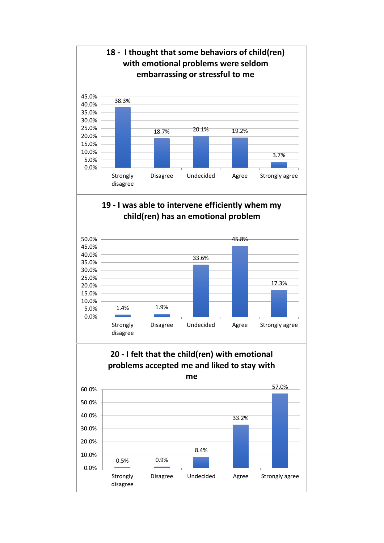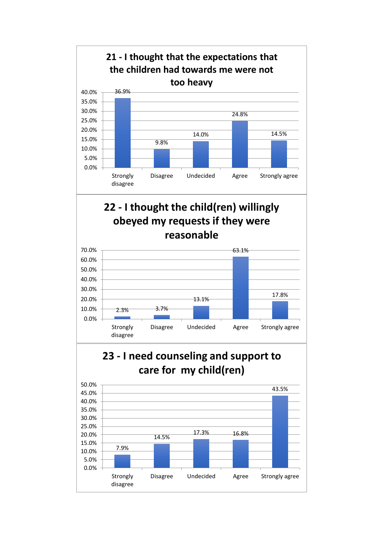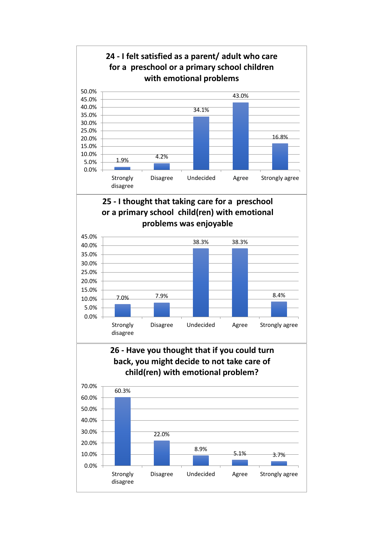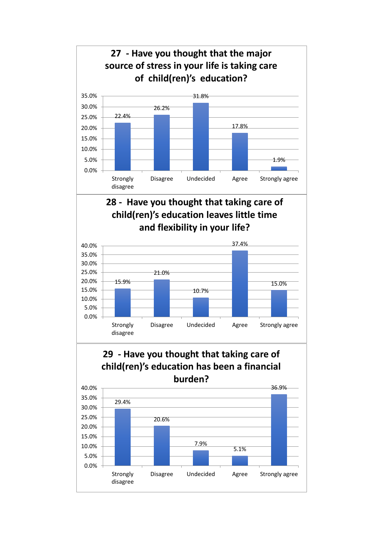